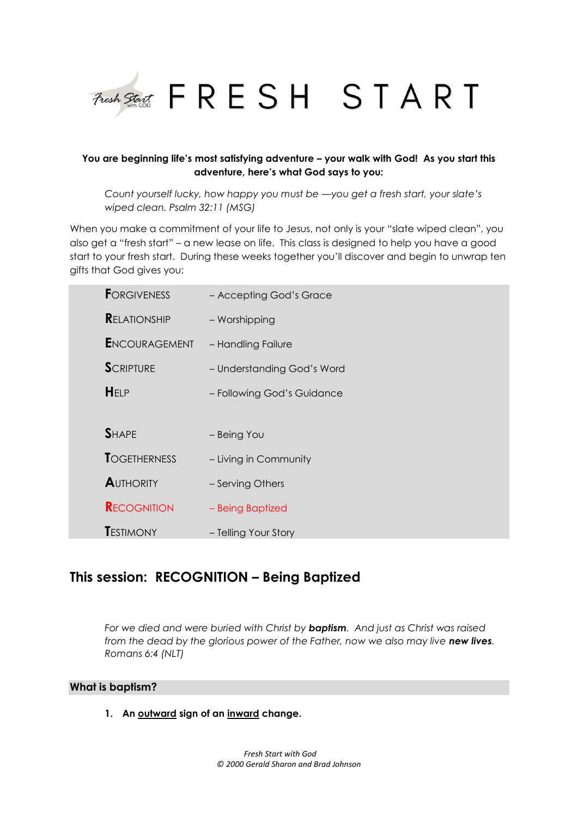

### **You are beginning life's most satisfying adventure – your walk with God! As you start this adventure, here's what God says to you:**

*Count yourself lucky, how happy you must be —you get a fresh start, your slate's wiped clean. Psalm 32:11 (MSG)*

When you make a commitment of your life to Jesus, not only is your "slate wiped clean", you also get a "fresh start" – a new lease on life. This class is designed to help you have a good start to your fresh start. During these weeks together you'll discover and begin to unwrap ten gifts that God gives you:

| <b>FORGIVENESS</b>   | - Accepting God's Grace    |
|----------------------|----------------------------|
| <b>RELATIONSHIP</b>  | - Worshipping              |
| <b>ENCOURAGEMENT</b> | - Handling Failure         |
| <b>SCRIPTURE</b>     | - Understanding God's Word |
| HELP                 | - Following God's Guidance |
|                      |                            |
| <b>SHAPE</b>         | - Being You                |
| <b>TOGETHERNESS</b>  | - Living in Community      |
| <b>AUTHORITY</b>     | - Serving Others           |
| <b>RECOGNITION</b>   | - Being Baptized           |
| <b>TESTIMONY</b>     | - Telling Your Story       |

# **This session: RECOGNITION – Being Baptized**

*For we died and were buried with Christ by baptism. And just as Christ was raised from the dead by the glorious power of the Father, now we also may live new lives. Romans 6:4 (NLT)*

### **What is baptism?**

**1. An outward sign of an inward change.**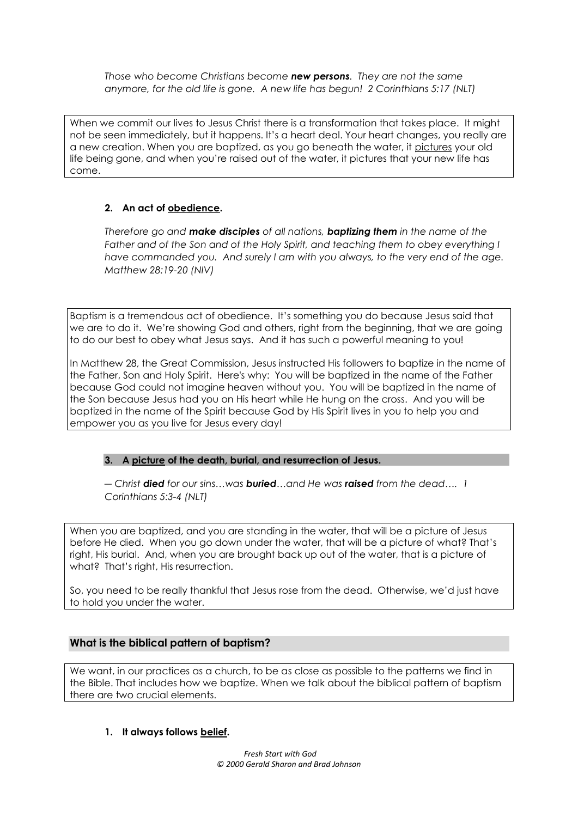*Those who become Christians become new persons. They are not the same anymore, for the old life is gone. A new life has begun! 2 Corinthians 5:17 (NLT)*

When we commit our lives to Jesus Christ there is a transformation that takes place. It might not be seen immediately, but it happens. It's a heart deal. Your heart changes, you really are a new creation. When you are baptized, as you go beneath the water, it pictures your old life being gone, and when you're raised out of the water, it pictures that your new life has come.

### **2. An act of obedience.**

*Therefore go and make disciples of all nations, baptizing them in the name of the*  Father and of the Son and of the Holy Spirit, and teaching them to obey everything I *have commanded you. And surely I am with you always, to the very end of the age. Matthew 28:19-20 (NIV)*

Baptism is a tremendous act of obedience. It's something you do because Jesus said that we are to do it. We're showing God and others, right from the beginning, that we are going to do our best to obey what Jesus says. And it has such a powerful meaning to you!

In Matthew 28, the Great Commission, Jesus instructed His followers to baptize in the name of the Father, Son and Holy Spirit. Here's why: You will be baptized in the name of the Father because God could not imagine heaven without you. You will be baptized in the name of the Son because Jesus had you on His heart while He hung on the cross. And you will be baptized in the name of the Spirit because God by His Spirit lives in you to help you and empower you as you live for Jesus every day!

### **3. A picture of the death, burial, and resurrection of Jesus.**

*― Christ died for our sins…was buried…and He was raised from the dead…. 1 Corinthians 5:3-4 (NLT)*

When you are baptized, and you are standing in the water, that will be a picture of Jesus before He died. When you go down under the water, that will be a picture of what? That's right, His burial. And, when you are brought back up out of the water, that is a picture of what? That's right, His resurrection.

So, you need to be really thankful that Jesus rose from the dead. Otherwise, we'd just have to hold you under the water.

### **What is the biblical pattern of baptism?**

We want, in our practices as a church, to be as close as possible to the patterns we find in the Bible. That includes how we baptize. When we talk about the biblical pattern of baptism there are two crucial elements.

### **1. It always follows belief.**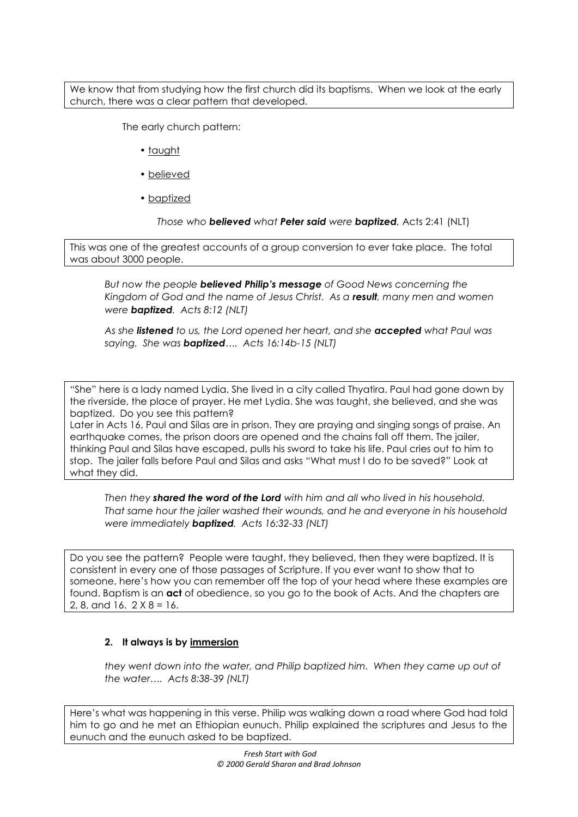We know that from studying how the first church did its baptisms. When we look at the early church, there was a clear pattern that developed.

The early church pattern:

- taught
- believed
- baptized

*Those who believed what Peter said were baptized.* Acts 2:41 (NLT)

This was one of the greatest accounts of a group conversion to ever take place. The total was about 3000 people.

*But now the people believed Philip's message of Good News concerning the Kingdom of God and the name of Jesus Christ. As a result, many men and women were baptized. Acts 8:12 (NLT)*

*As she listened to us, the Lord opened her heart, and she accepted what Paul was saying. She was baptized…. Acts 16:14b-15 (NLT)*

"She" here is a lady named Lydia. She lived in a city called Thyatira. Paul had gone down by the riverside, the place of prayer. He met Lydia. She was taught, she believed, and she was baptized. Do you see this pattern?

Later in Acts 16, Paul and Silas are in prison. They are praying and singing songs of praise. An earthquake comes, the prison doors are opened and the chains fall off them. The jailer, thinking Paul and Silas have escaped, pulls his sword to take his life. Paul cries out to him to stop. The jailer falls before Paul and Silas and asks "What must I do to be saved?" Look at what they did.

*Then they shared the word of the Lord with him and all who lived in his household. That same hour the jailer washed their wounds, and he and everyone in his household were immediately baptized. Acts 16:32-33 (NLT)*

Do you see the pattern? People were taught, they believed, then they were baptized. It is consistent in every one of those passages of Scripture. If you ever want to show that to someone, here's how you can remember off the top of your head where these examples are found. Baptism is an **act** of obedience, so you go to the book of Acts. And the chapters are 2, 8, and 16.  $2 \times 8 = 16$ .

### **2. It always is by immersion**

*they went down into the water, and Philip baptized him. When they came up out of the water…. Acts 8:38-39 (NLT)*

Here's what was happening in this verse. Philip was walking down a road where God had told him to go and he met an Ethiopian eunuch. Philip explained the scriptures and Jesus to the eunuch and the eunuch asked to be baptized.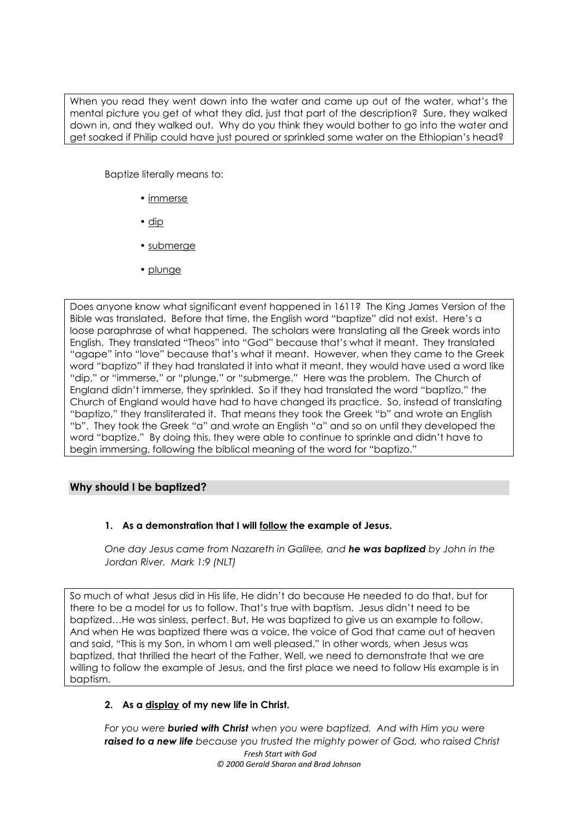When you read they went down into the water and came up out of the water, what's the mental picture you get of what they did, just that part of the description? Sure, they walked down in, and they walked out. Why do you think they would bother to go into the water and get soaked if Philip could have just poured or sprinkled some water on the Ethiopian's head?

Baptize literally means to:

- immerse
- dip
- submerge
- plunge

Does anyone know what significant event happened in 1611? The King James Version of the Bible was translated. Before that time, the English word "baptize" did not exist. Here's a loose paraphrase of what happened. The scholars were translating all the Greek words into English. They translated "Theos" into "God" because that's what it meant. They translated "agape" into "love" because that's what it meant. However, when they came to the Greek word "baptizo" if they had translated it into what it meant, they would have used a word like "dip," or "immerse," or "plunge," or "submerge." Here was the problem. The Church of England didn't immerse, they sprinkled. So if they had translated the word "baptizo," the Church of England would have had to have changed its practice. So, instead of translating "baptizo," they transliterated it. That means they took the Greek "b" and wrote an English "b". They took the Greek "a" and wrote an English "a" and so on until they developed the word "baptize." By doing this, they were able to continue to sprinkle and didn't have to begin immersing, following the biblical meaning of the word for "baptizo."

## **Why should I be baptized?**

### **1. As a demonstration that I will follow the example of Jesus.**

*One day Jesus came from Nazareth in Galilee, and he was baptized by John in the Jordan River. Mark 1:9 (NLT)*

So much of what Jesus did in His life, He didn't do because He needed to do that, but for there to be a model for us to follow. That's true with baptism. Jesus didn't need to be baptized…He was sinless, perfect. But, He was baptized to give us an example to follow. And when He was baptized there was a voice, the voice of God that came out of heaven and said, "This is my Son, in whom I am well pleased." In other words, when Jesus was baptized, that thrilled the heart of the Father. Well, we need to demonstrate that we are willing to follow the example of Jesus, and the first place we need to follow His example is in baptism.

## **2. As a display of my new life in Christ.**

*Fresh Start with God © 2000 Gerald Sharon and Brad Johnson For you were buried with Christ when you were baptized. And with Him you were raised to a new life because you trusted the mighty power of God, who raised Christ*